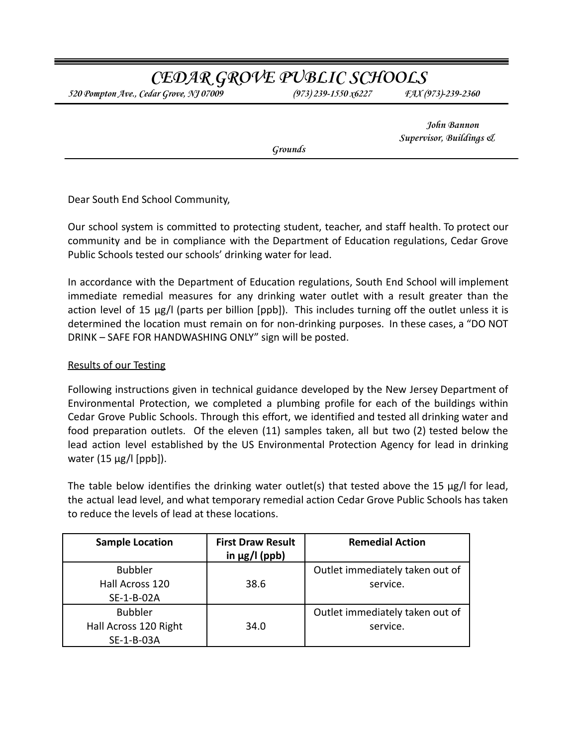# **CEDAR GROVE PUBLIC SCHOOLS**

*520 Pompton Ave., Cedar Grove, NJ 07009 (973) 239-1550 x6227 FAX (973)-239-2360*

**John Bannon Supervisor, Buildings &**

**Grounds**

Dear South End School Community,

Our school system is committed to protecting student, teacher, and staff health. To protect our community and be in compliance with the Department of Education regulations, Cedar Grove Public Schools tested our schools' drinking water for lead.

In accordance with the Department of Education regulations, South End School will implement immediate remedial measures for any drinking water outlet with a result greater than the action level of 15 µg/l (parts per billion [ppb]). This includes turning off the outlet unless it is determined the location must remain on for non-drinking purposes. In these cases, a "DO NOT DRINK – SAFE FOR HANDWASHING ONLY" sign will be posted.

## Results of our Testing

Following instructions given in technical guidance developed by the New Jersey Department of Environmental Protection, we completed a plumbing profile for each of the buildings within Cedar Grove Public Schools. Through this effort, we identified and tested all drinking water and food preparation outlets. Of the eleven (11) samples taken, all but two (2) tested below the lead action level established by the US Environmental Protection Agency for lead in drinking water  $(15 \mu g / I$  [ppb]).

The table below identifies the drinking water outlet(s) that tested above the 15  $\mu$ g/l for lead, the actual lead level, and what temporary remedial action Cedar Grove Public Schools has taken to reduce the levels of lead at these locations.

| <b>Sample Location</b>                                | <b>First Draw Result</b><br>in $\mu$ g/l (ppb) | <b>Remedial Action</b>                      |
|-------------------------------------------------------|------------------------------------------------|---------------------------------------------|
| <b>Bubbler</b><br>Hall Across 120<br>SE-1-B-02A       | 38.6                                           | Outlet immediately taken out of<br>service. |
| <b>Bubbler</b><br>Hall Across 120 Right<br>SE-1-B-03A | 34.0                                           | Outlet immediately taken out of<br>service. |